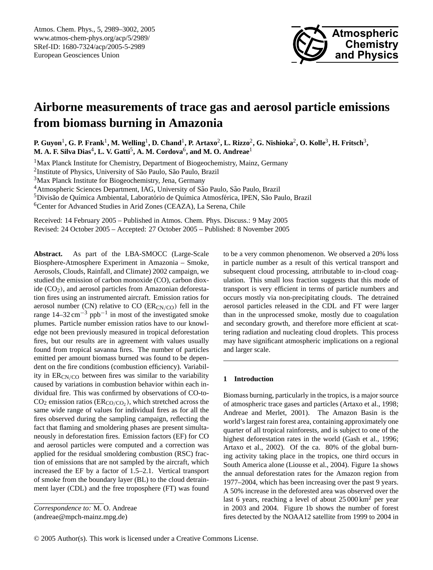

# **Airborne measurements of trace gas and aerosol particle emissions from biomass burning in Amazonia**

**P. Guyon**<sup>1</sup> **, G. P. Frank**<sup>1</sup> **, M. Welling**<sup>1</sup> **, D. Chand**<sup>1</sup> **, P. Artaxo**<sup>2</sup> **, L. Rizzo**<sup>2</sup> **, G. Nishioka**<sup>2</sup> **, O. Kolle**<sup>3</sup> **, H. Fritsch**<sup>3</sup> **,**  $\mathbf{M.~A.~F.~Silva~Dias}^4, \mathbf{L.~V.~Gatti}^5, \mathbf{A.~M.~Cordova}^6, \text{ and } \mathbf{M.~O.~Andreae}^1$ 

<sup>1</sup>Max Planck Institute for Chemistry, Department of Biogeochemistry, Mainz, Germany

<sup>2</sup>Institute of Physics, University of São Paulo, São Paulo, Brazil

<sup>3</sup>Max Planck Institute for Biogeochemistry, Jena, Germany

<sup>4</sup> Atmospheric Sciences Department, IAG, University of São Paulo, São Paulo, Brazil

<sup>5</sup>Divisão de Química Ambiental, Laboratório de Química Atmosférica, IPEN, São Paulo, Brazil

<sup>6</sup>Center for Advanced Studies in Arid Zones (CEAZA), La Serena, Chile

Received: 14 February 2005 – Published in Atmos. Chem. Phys. Discuss.: 9 May 2005 Revised: 24 October 2005 – Accepted: 27 October 2005 – Published: 8 November 2005

**Abstract.** As part of the LBA-SMOCC (Large-Scale Biosphere-Atmosphere Experiment in Amazonia – Smoke, Aerosols, Clouds, Rainfall, and Climate) 2002 campaign, we studied the emission of carbon monoxide (CO), carbon dioxide  $(CO<sub>2</sub>)$ , and aerosol particles from Amazonian deforestation fires using an instrumented aircraft. Emission ratios for aerosol number (CN) relative to CO ( $ER_{CN/CO}$ ) fell in the range  $14-32 \text{ cm}^{-3}$  ppb<sup>-1</sup> in most of the investigated smoke plumes. Particle number emission ratios have to our knowledge not been previously measured in tropical deforestation fires, but our results are in agreement with values usually found from tropical savanna fires. The number of particles emitted per amount biomass burned was found to be dependent on the fire conditions (combustion efficiency). Variability in  $ER_{CN/CO}$  between fires was similar to the variability caused by variations in combustion behavior within each individual fire. This was confirmed by observations of CO-to- $CO<sub>2</sub>$  emission ratios (ER<sub>CO/CO<sub>2</sub>), which stretched across the</sub> same wide range of values for individual fires as for all the fires observed during the sampling campaign, reflecting the fact that flaming and smoldering phases are present simultaneously in deforestation fires. Emission factors (EF) for CO and aerosol particles were computed and a correction was applied for the residual smoldering combustion (RSC) fraction of emissions that are not sampled by the aircraft, which increased the EF by a factor of 1.5–2.1. Vertical transport of smoke from the boundary layer (BL) to the cloud detrainment layer (CDL) and the free troposphere (FT) was found

to be a very common phenomenon. We observed a 20% loss in particle number as a result of this vertical transport and subsequent cloud processing, attributable to in-cloud coagulation. This small loss fraction suggests that this mode of transport is very efficient in terms of particle numbers and occurs mostly via non-precipitating clouds. The detrained aerosol particles released in the CDL and FT were larger than in the unprocessed smoke, mostly due to coagulation and secondary growth, and therefore more efficient at scattering radiation and nucleating cloud droplets. This process may have significant atmospheric implications on a regional and larger scale.

#### **1 Introduction**

Biomass burning, particularly in the tropics, is a major source of atmospheric trace gases and particles (Artaxo et al., 1998; Andreae and Merlet, 2001). The Amazon Basin is the world's largest rain forest area, containing approximately one quarter of all tropical rainforests, and is subject to one of the highest deforestation rates in the world (Gash et al., 1996; Artaxo et al., 2002). Of the ca. 80% of the global burning activity taking place in the tropics, one third occurs in South America alone (Liousse et al., 2004). Figure 1a shows the annual deforestation rates for the Amazon region from 1977–2004, which has been increasing over the past 9 years. A 50% increase in the deforested area was observed over the last 6 years, reaching a level of about  $25000 \text{ km}^2$  per year in 2003 and 2004. Figure 1b shows the number of forest fires detected by the NOAA12 satellite from 1999 to 2004 in

<span id="page-0-0"></span>*Correspondence to:* M. O. Andreae (andreae@mpch-mainz.mpg.de)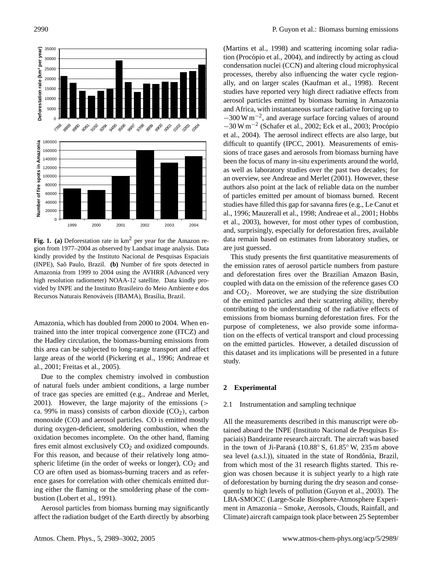

**Fig. 1. (a)** Deforestation rate in km<sup>2</sup> per year for the Amazon region from 1977–2004 as observed by Landsat image analysis. Data kindly provided by the Instituto Nacional de Pesquisas Espaciais (INPE), Sao Paulo, Brazil. ˜ **(b)** Number of fire spots detected in Amazonia from 1999 to 2004 using the AVHRR (Advanced very high resolution radiometer) NOAA-12 satellite. Data kindly provided by INPE and the Instituto Brasileiro do Meio Ambiente e dos Recursos Naturais Renováveis (IBAMA), Brasília, Brazil.

Amazonia, which has doubled from 2000 to 2004. When entrained into the inter tropical convergence zone (ITCZ) and the Hadley circulation, the biomass-burning emissions from this area can be subjected to long-range transport and affect large areas of the world (Pickering et al., 1996; Andreae et al., 2001; Freitas et al., 2005).

Due to the complex chemistry involved in combustion of natural fuels under ambient conditions, a large number of trace gas species are emitted (e.g., Andreae and Merlet, 2001). However, the large majority of the emissions (> ca. 99% in mass) consists of carbon dioxide  $(CO<sub>2</sub>)$ , carbon monoxide (CO) and aerosol particles. CO is emitted mostly during oxygen-deficient, smoldering combustion, when the oxidation becomes incomplete. On the other hand, flaming fires emit almost exclusively  $CO<sub>2</sub>$  and oxidized compounds. For this reason, and because of their relatively long atmospheric lifetime (in the order of weeks or longer),  $CO<sub>2</sub>$  and CO are often used as biomass-burning tracers and as reference gases for correlation with other chemicals emitted during either the flaming or the smoldering phase of the combustion (Lobert et al., 1991).

Aerosol particles from biomass burning may significantly affect the radiation budget of the Earth directly by absorbing (Martins et al., 1998) and scattering incoming solar radiation (Procópio et al., 2004), and indirectly by acting as cloud condensation nuclei (CCN) and altering cloud microphysical processes, thereby also influencing the water cycle regionally, and on larger scales (Kaufman et al., 1998). Recent studies have reported very high direct radiative effects from aerosol particles emitted by biomass burning in Amazonia and Africa, with instantaneous surface radiative forcing up to −300 W m−<sup>2</sup> , and average surface forcing values of around −30 W m−<sup>2</sup> (Schafer et al., 2002; Eck et al., 2003; Procopio ´ et al., 2004). The aerosol indirect effects are also large, but difficult to quantify (IPCC, 2001). Measurements of emissions of trace gases and aerosols from biomass burning have been the focus of many in-situ experiments around the world, as well as laboratory studies over the past two decades; for an overview, see Andreae and Merlet (2001). However, these authors also point at the lack of reliable data on the number of particles emitted per amount of biomass burned. Recent studies have filled this gap for savanna fires (e.g., Le Canut et al., 1996; Mauzerall et al., 1998; Andreae et al., 2001; Hobbs et al., 2003), however, for most other types of combustion, and, surprisingly, especially for deforestation fires, available data remain based on estimates from laboratory studies, or are just guessed.

This study presents the first quantitative measurements of the emission rates of aerosol particle numbers from pasture and deforestation fires over the Brazilian Amazon Basin, coupled with data on the emission of the reference gases CO and  $CO<sub>2</sub>$ . Moreover, we are studying the size distribution of the emitted particles and their scattering ability, thereby contributing to the understanding of the radiative effects of emissions from biomass burning deforestation fires. For the purpose of completeness, we also provide some information on the effects of vertical transport and cloud processing on the emitted particles. However, a detailed discussion of this dataset and its implications will be presented in a future study.

#### **2 Experimental**

#### 2.1 Instrumentation and sampling technique

All the measurements described in this manuscript were obtained aboard the INPE (Instituto Nacional de Pesquisas Espaciais) Bandeirante research aircraft. The aircraft was based in the town of Ji-Paraná ( $10.88^\circ$  S,  $61.85^\circ$  W,  $235$  m above sea level (a.s.l.)), situated in the state of Rondônia, Brazil, from which most of the 31 research flights started. This region was chosen because it is subject yearly to a high rate of deforestation by burning during the dry season and consequently to high levels of pollution (Guyon et al., 2003). The LBA-SMOCC (Large-Scale Biosphere-Atmosphere Experiment in Amazonia – Smoke, Aerosols, Clouds, Rainfall, and Climate) aircraft campaign took place between 25 September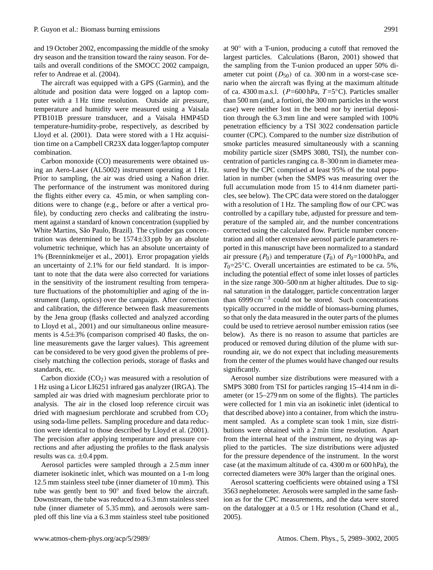and 19 October 2002, encompassing the middle of the smoky dry season and the transition toward the rainy season. For details and overall conditions of the SMOCC 2002 campaign, refer to Andreae et al. (2004).

The aircraft was equipped with a GPS (Garmin), and the altitude and position data were logged on a laptop computer with a 1 Hz time resolution. Outside air pressure, temperature and humidity were measured using a Vaisala PTB101B pressure transducer, and a Vaisala HMP45D temperature-humidity-probe, respectively, as described by Lloyd et al. (2001). Data were stored with a 1 Hz acquisition time on a Campbell CR23X data logger/laptop computer combination.

Carbon monoxide (CO) measurements were obtained using an Aero-Laser (AL5002) instrument operating at 1 Hz. Prior to sampling, the air was dried using a Nafion drier. The performance of the instrument was monitored during the flights either every ca. 45 min, or when sampling conditions were to change (e.g., before or after a vertical profile), by conducting zero checks and calibrating the instrument against a standard of known concentration (supplied by White Martins, São Paulo, Brazil). The cylinder gas concentration was determined to be  $1574\pm33$  ppb by an absolute volumetric technique, which has an absolute uncertainty of 1% (Brenninkmeijer et al., 2001). Error propagation yields an uncertainty of 2.1% for our field standard. It is important to note that the data were also corrected for variations in the sensitivity of the instrument resulting from temperature fluctuations of the photomultiplier and aging of the instrument (lamp, optics) over the campaign. After correction and calibration, the difference between flask measurements by the Jena group (flasks collected and analyzed according to Lloyd et al., 2001) and our simultaneous online measurements is 4.5±3% (comparison comprised 40 flasks, the online measurements gave the larger values). This agreement can be considered to be very good given the problems of precisely matching the collection periods, storage of flasks and standards, etc.

Carbon dioxide  $(CO<sub>2</sub>)$  was measured with a resolution of 1 Hz using a Licor LI6251 infrared gas analyzer (IRGA). The sampled air was dried with magnesium perchlorate prior to analysis. The air in the closed loop reference circuit was dried with magnesium perchlorate and scrubbed from CO<sub>2</sub> using soda-lime pellets. Sampling procedure and data reduction were identical to those described by Lloyd et al. (2001). The precision after applying temperature and pressure corrections and after adjusting the profiles to the flask analysis results was ca.  $\pm 0.4$  ppm.

Aerosol particles were sampled through a 2.5 mm inner diameter isokinetic inlet, which was mounted on a 1-m long 12.5 mm stainless steel tube (inner diameter of 10 mm). This tube was gently bent to  $90^\circ$  and fixed below the aircraft. Downstream, the tube was reduced to a 6.3 mm stainless steel tube (inner diameter of 5.35 mm), and aerosols were sampled off this line via a 6.3 mm stainless steel tube positioned at 90◦ with a T-union, producing a cutoff that removed the largest particles. Calculations (Baron, 2001) showed that the sampling from the T-union produced an upper 50% diameter cut point  $(D_{50})$  of ca. 300 nm in a worst-case scenario when the aircraft was flying at the maximum altitude of ca. 4300 m a.s.l. ( $P=600$  hPa,  $T=5$ °C). Particles smaller than 500 nm (and, a fortiori, the 300 nm particles in the worst case) were neither lost in the bend nor by inertial deposition through the 6.3 mm line and were sampled with 100% penetration efficiency by a TSI 3022 condensation particle counter (CPC). Compared to the number size distribution of smoke particles measured simultaneously with a scanning mobility particle sizer (SMPS 3080, TSI), the number concentration of particles ranging ca. 8–300 nm in diameter measured by the CPC comprised at least 95% of the total population in number (when the SMPS was measuring over the full accumulation mode from 15 to 414 nm diameter particles, see below). The CPC data were stored on the datalogger with a resolution of 1 Hz. The sampling flow of our CPC was controlled by a capillary tube, adjusted for pressure and temperature of the sampled air, and the number concentrations corrected using the calculated flow. Particle number concentration and all other extensive aerosol particle parameters reported in this manuscript have been normalized to a standard air pressure ( $P_0$ ) and temperature ( $T_0$ ) of  $P_0$ =1000 hPa, and  $T_0$ =25 $\degree$ C. Overall uncertainties are estimated to be ca. 5%, including the potential effect of some inlet losses of particles in the size range 300–500 nm at higher altitudes. Due to signal saturation in the datalogger, particle concentration larger than 6999 cm−<sup>3</sup> could not be stored. Such concentrations typically occurred in the middle of biomass-burning plumes, so that only the data measured in the outer parts of the plumes could be used to retrieve aerosol number emission ratios (see below). As there is no reason to assume that particles are produced or removed during dilution of the plume with surrounding air, we do not expect that including measurements from the center of the plumes would have changed our results significantly.

Aerosol number size distributions were measured with a SMPS 3080 from TSI for particles ranging 15–414 nm in diameter (or 15–279 nm on some of the flights). The particles were collected for 1 min via an isokinetic inlet (identical to that described above) into a container, from which the instrument sampled. As a complete scan took 1 min, size distributions were obtained with a 2 min time resolution. Apart from the internal heat of the instrument, no drying was applied to the particles. The size distributions were adjusted for the pressure dependence of the instrument. In the worst case (at the maximum altitude of ca. 4300 m or 600 hPa), the corrected diameters were 30% larger than the original ones.

Aerosol scattering coefficients were obtained using a TSI 3563 nephelometer. Aerosols were sampled in the same fashion as for the CPC measurements, and the data were stored on the datalogger at a 0.5 or 1 Hz resolution (Chand et al., 2005).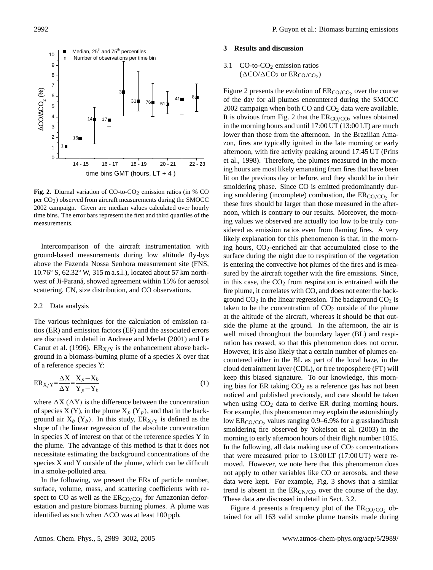

**Fig. 2.** Diurnal variation of CO-to-CO<sub>2</sub> emission ratios (in  $%$  CO per  $CO<sub>2</sub>$ ) observed from aircraft measurements during the SMOCC 2002 campaign. Given are median values calculated over hourly time bins. The error bars represent the first and third quartiles of the measurements.

Intercomparison of the aircraft instrumentation with ground-based measurements during low altitude fly-bys above the Fazenda Nossa Senhora measurement site (FNS, 10.76◦ S, 62.32◦ W, 315 m a.s.l.), located about 57 km northwest of Ji-Paraná, showed agreement within 15% for aerosol scattering, CN, size distribution, and CO observations.

#### 2.2 Data analysis

tios (ER) and emission factors (EF) and the associated errors The various techniques for the calculation of emission raare discussed in detail in Andreae and Merlet (2001) and Le Canut et al. (1996).  $ER_{X/Y}$  is the enhancement above background in a biomass-burning plume of a species X over that of a reference species Y:

$$
ER_{X/Y} = \frac{\Delta X}{\Delta Y} = \frac{X_p - X_b}{Y_p - Y_b}
$$
\n(1)

where  $\Delta X$  ( $\Delta Y$ ) is the difference between the concentration of species X (Y), in the plume  $X_p$  (Y<sub>p</sub>), and that in the background air  $X_b$  (Y<sub>b</sub>). In this study,  $ER_{X/Y}$  is defined as the slope of the linear regression of the absolute concentration in species X of interest on that of the reference species Y in the plume. The advantage of this method is that it does not necessitate estimating the background concentrations of the species X and Y outside of the plume, which can be difficult in a smoke-polluted area.

In the following, we present the ERs of particle number, surface, volume, mass, and scattering coefficients with respect to CO as well as the  $ER_{CO/CO_2}$  for Amazonian deforestation and pasture biomass burning plumes. A plume was identified as such when  $\Delta CO$  was at least 100 ppb.

#### **3 Results and discussion**

## 3.1  $CO$ -to- $CO<sub>2</sub>$  emission ratios  $(\Delta CO/\Delta CO_2$  or  $ER_{CO/CO_2}$ )

Figure 2 presents the evolution of  $ER_{CO/CO_2}$  over the course of the day for all plumes encountered during the SMOCC 2002 campaign when both  $CO$  and  $CO<sub>2</sub>$  data were available. It is obvious from Fig. 2 that the  $ER_{CO/CO_2}$  values obtained in the morning hours and until 17:00 UT (13:00 LT) are much lower than those from the afternoon. In the Brazilian Amazon, fires are typically ignited in the late morning or early afternoon, with fire activity peaking around 17:45 UT (Prins et al., 1998). Therefore, the plumes measured in the morning hours are most likely emanating from fires that have been lit on the previous day or before, and they should be in their smoldering phase. Since CO is emitted predominantly during smoldering (incomplete) combustion, the  $ER_{CO/CO_2}$  for these fires should be larger than those measured in the afternoon, which is contrary to our results. Moreover, the morning values we observed are actually too low to be truly considered as emission ratios even from flaming fires. A very likely explanation for this phenomenon is that, in the morning hours,  $CO_2$ -enriched air that accumulated close to the surface during the night due to respiration of the vegetation is entering the convective hot plumes of the fires and is measured by the aircraft together with the fire emissions. Since, in this case, the  $CO<sub>2</sub>$  from respiration is entrained with the fire plume, it correlates with CO, and does not enter the background  $CO<sub>2</sub>$  in the linear regression. The background  $CO<sub>2</sub>$  is taken to be the concentration of  $CO<sub>2</sub>$  outside of the plume at the altitude of the aircraft, whereas it should be that outside the plume at the ground. In the afternoon, the air is well mixed throughout the boundary layer (BL) and respiration has ceased, so that this phenomenon does not occur. However, it is also likely that a certain number of plumes encountered either in the BL as part of the local haze, in the cloud detrainment layer (CDL), or free troposphere (FT) will keep this biased signature. To our knowledge, this morning bias for ER taking  $CO<sub>2</sub>$  as a reference gas has not been noticed and published previously, and care should be taken when using  $CO<sub>2</sub>$  data to derive ER during morning hours. For example, this phenomenon may explain the astonishingly low  $ER_{CO/CO_2}$  values ranging 0.9–6.9% for a grassland/bush smoldering fire observed by Yokelson et al. (2003) in the morning to early afternoon hours of their flight number 1815. In the following, all data making use of  $CO<sub>2</sub>$  concentrations that were measured prior to 13:00 LT (17:00 UT) were removed. However, we note here that this phenomenon does not apply to other variables like CO or aerosols, and these data were kept. For example, Fig. 3 shows that a similar trend is absent in the  $ER_{CN/CO}$  over the course of the day. These data are discussed in detail in Sect. 3.2.

Figure 4 presents a frequency plot of the  $ER_{CO/CO_2}$  obtained for all 163 valid smoke plume transits made during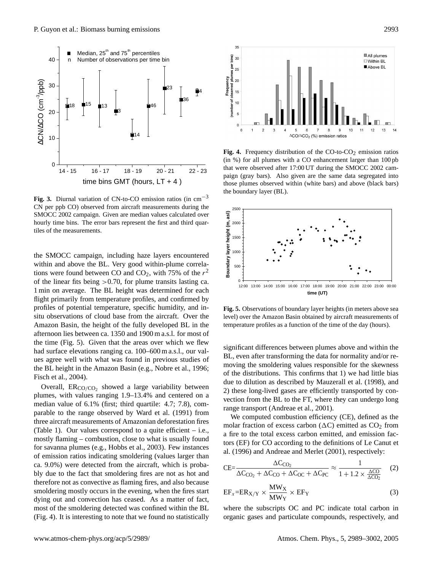

**Fig. 3.** Diurnal variation of CN-to-CO emission ratios (in cm−<sup>3</sup> CN per ppb CO) observed from aircraft measurements during the SMOCC 2002 campaign. Given are median values calculated over hourly time bins. The error bars represent the first and third quartiles of the measurements.

the time (Fig. 5). Given that the areas over which we flew the SMOCC campaign, including haze layers encountered within and above the BL. Very good within-plume correlations were found between CO and  $CO_2$ , with 75% of the  $r^2$ of the linear fits being  $>0.70$ , for plume transits lasting ca. 1 min on average. The BL height was determined for each flight primarily from temperature profiles, and confirmed by profiles of potential temperature, specific humidity, and insitu observations of cloud base from the aircraft. Over the Amazon Basin, the height of the fully developed BL in the afternoon lies between ca. 1350 and 1900 m a.s.l. for most of had surface elevations ranging ca. 100–600 m a.s.l., our values agree well with what was found in previous studies of the BL height in the Amazon Basin (e.g., Nobre et al., 1996; Fisch et al., 2004).

Overall,  $ER_{CO/CO_2}$  showed a large variability between plumes, with values ranging 1.9–13.4% and centered on a median value of 6.1% (first; third quartile: 4.7; 7.8), comparable to the range observed by Ward et al. (1991) from three aircraft measurements of Amazonian deforestation fires (Table 1). Our values correspond to a quite efficient  $-$  i.e., mostly flaming – combustion, close to what is usually found for savanna plumes (e.g., Hobbs et al., 2003). Few instances of emission ratios indicating smoldering (values larger than ca. 9.0%) were detected from the aircraft, which is probably due to the fact that smoldering fires are not as hot and therefore not as convective as flaming fires, and also because smoldering mostly occurs in the evening, when the fires start dying out and convection has ceased. As a matter of fact, most of the smoldering detected was confined within the BL (Fig. 4). It is interesting to note that we found no statistically



that were observed after 17:00 UT during the SMOCC 2002 cam-Fig. 4. Frequency distribution of the  $CO$ -to- $CO<sub>2</sub>$  emission ratios (in %) for all plumes with a CO enhancement larger than 100 pb paign (gray bars). Also given are the same data segregated into those plumes observed within (white bars) and above (black bars) the boundary layer (BL).



temperature profiles as a function of the time of the day (hours). **Fig. 5.** Observations of boundary layer heights (in meters above sea level) over the Amazon Basin obtained by aircraft measurements of

significant differences between plumes above and within the BL, even after transforming the data for normality and/or removing the smoldering values responsible for the skewness of the distributions. This confirms that 1) we had little bias due to dilution as described by Mauzerall et al. (1998), and 2) these long-lived gases are efficiently transported by convection from the BL to the FT, where they can undergo long range transport (Andreae et al., 2001).

We computed combustion efficiency (CE), defined as the molar fraction of excess carbon  $(\Delta C)$  emitted as  $CO<sub>2</sub>$  from a fire to the total excess carbon emitted, and emission factors (EF) for CO according to the definitions of Le Canut et al. (1996) and Andreae and Merlet (2001), respectively:

$$
CE = \frac{\Delta C_{\text{CO}_2}}{\Delta C_{\text{CO}_2} + \Delta C_{\text{CO}} + \Delta C_{\text{OC}} + \Delta C_{\text{PC}}} \approx \frac{1}{1 + 1.2 \times \frac{\Delta CO}{\Delta CO_2}} \quad (2)
$$

$$
EF_x = ER_{X/Y} \times \frac{MW_X}{MW_Y} \times EF_Y
$$
 (3)

where the subscripts OC and PC indicate total carbon in organic gases and particulate compounds, respectively, and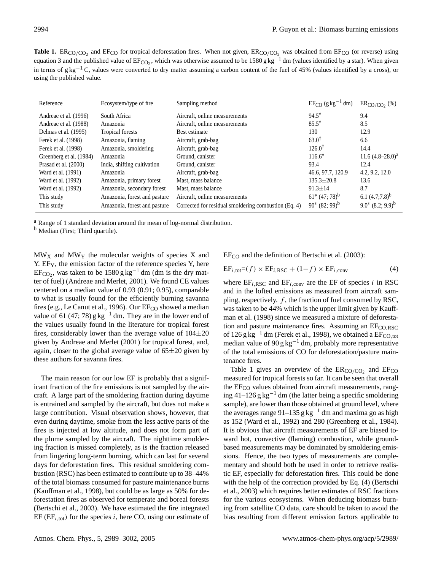**Table 1.**  $ER_{CO/CO_2}$  and  $EF_{CO}$  for tropical deforestation fires. When not given,  $ER_{CO/CO_2}$  was obtained from  $EF_{CO}$  (or reverse) using equation 3 and the published value of  $E_F^{\text{C}}_2$ , which was otherwise assumed to be 1580 g kg<sup>-1</sup> dm (values identified by a star). When given in terms of g kg<sup>-1</sup> C, values were converted to dry matter assuming a carbon content of the fuel of 45% (values identified by a cross), or using the published value.

| Reference               | Ecosystem/type of fire       | Sampling method                                      | $EF_{CO}$ (g kg <sup>-1</sup> dm) | $ER_{CO/CO}$ , $%$     |
|-------------------------|------------------------------|------------------------------------------------------|-----------------------------------|------------------------|
| Andreae et al. (1996)   | South Africa                 | Aircraft, online measurements                        | $94.5*$                           | 9.4                    |
| Andreae et al. (1988)   | Amazonia                     | Aircraft, online measurements                        | $85.5*$                           | 8.5                    |
| Delmas et al. (1995)    | Tropical forests             | Best estimate                                        | 130                               | 12.9                   |
| Ferek et al. (1998)     | Amazonia, flaming            | Aircraft, grab-bag                                   | $63.0^{\dagger}$                  | 6.6                    |
| Ferek et al. (1998)     | Amazonia, smoldering         | Aircraft, grab-bag                                   | $126.0^{\dagger}$                 | 14.4                   |
| Greenberg et al. (1984) | Amazonia                     | Ground, canister                                     | $116.6*$                          | $11.6 (4.8 - 28.0)^a$  |
| Prasad et al. (2000)    | India, shifting cultivation  | Ground, canister                                     | 93.4                              | 12.4                   |
| Ward et al. (1991)      | Amazonia                     | Aircraft, grab-bag                                   | 46.6, 97.7, 120.9                 | 4.2, 9.2, 12.0         |
| Ward et al. (1992)      | Amazonia, primary forest     | Mast, mass balance                                   | $135.3 \pm 20.8$                  | 13.6                   |
| Ward et al. (1992)      | Amazonia, secondary forest   | Mast, mass balance                                   | $91.3 \pm 14$                     | 8.7                    |
| This study              | Amazonia, forest and pasture | Aircraft, online measurements                        | $61^*$ (47; 78) <sup>b</sup>      | 6.1 $(4.7;7.8)^b$      |
| This study              | Amazonia, forest and pasture | Corrected for residual smoldering combustion (Eq. 4) | $90^* (82; 99)^b$                 | $9.0^*$ $(8.2; 9.9)^b$ |

<sup>a</sup> Range of 1 standard deviation around the mean of log-normal distribution.

<sup>b</sup> Median (First; Third quartile).

 $MW_X$  and  $MW_Y$  the molecular weights of species X and Y. EF<sub>Y</sub>, the emission factor of the reference species Y, here  $EF<sub>CO2</sub>$ , was taken to be 1580 g kg<sup>-1</sup> dm (dm is the dry matter of fuel) (Andreae and Merlet, 2001). We found CE values centered on a median value of 0.93 (0.91; 0.95), comparable to what is usually found for the efficiently burning savanna fires (e.g., Le Canut et al., 1996). Our EF<sub>CO</sub> showed a median value of 61 (47; 78)  $g \text{ kg}^{-1}$  dm. They are in the lower end of the values usually found in the literature for tropical forest fires, considerably lower than the average value of  $104\pm20$ given by Andreae and Merlet (2001) for tropical forest, and, again, closer to the global average value of  $65\pm20$  given by these authors for savanna fires.

The main reason for our low EF is probably that a significant fraction of the fire emissions is not sampled by the aircraft. A large part of the smoldering fraction during daytime is entrained and sampled by the aircraft, but does not make a large contribution. Visual observation shows, however, that even during daytime, smoke from the less active parts of the fires is injected at low altitude, and does not form part of the plume sampled by the aircraft. The nighttime smoldering fraction is missed completely, as is the fraction released from lingering long-term burning, which can last for several days for deforestation fires. This residual smoldering combustion (RSC) has been estimated to contribute up to 38–44% of the total biomass consumed for pasture maintenance burns (Kauffman et al., 1998), but could be as large as 50% for deforestation fires as observed for temperate and boreal forests (Bertschi et al., 2003). We have estimated the fire integrated EF ( $EF_{i,tot}$ ) for the species i, here CO, using our estimate of  $EF_{CO}$  and the definition of Bertschi et al. (2003):

$$
EF_{i,\text{tot}} = (f) \times EF_{i,\text{RSC}} + (1 - f) \times EF_{i,\text{conv}}
$$
(4)

where  $EF_{i, RSC}$  and  $EF_{i, conv}$  are the EF of species i in RSC and in the lofted emissions as measured from aircraft sampling, respectively.  $f$ , the fraction of fuel consumed by RSC, was taken to be 44% which is the upper limit given by Kauffman et al. (1998) since we measured a mixture of deforestation and pasture maintenance fires. Assuming an  $E_{CO, RSC}$ of 126 g kg<sup>-1</sup> dm (Ferek et al., 1998), we obtained a EF<sub>CO,tot</sub> median value of 90 g kg<sup>-1</sup> dm, probably more representative of the total emissions of CO for deforestation/pasture maintenance fires.

Table 1 gives an overview of the  $ER_{CO/CO_2}$  and  $EF_{CO}$ measured for tropical forests so far. It can be seen that overall the  $EF_{CO}$  values obtained from aircraft measurements, ranging 41–126 g kg<sup>-1</sup> dm (the latter being a specific smoldering sample), are lower than those obtained at ground level, where the averages range 91–135 g kg<sup>-1</sup> dm and maxima go as high as 152 (Ward et al., 1992) and 280 (Greenberg et al., 1984). It is obvious that aircraft measurements of EF are biased toward hot, convective (flaming) combustion, while groundbased measurements may be dominated by smoldering emissions. Hence, the two types of measurements are complementary and should both be used in order to retrieve realistic EF, especially for deforestation fires. This could be done with the help of the correction provided by Eq. (4) (Bertschi et al., 2003) which requires better estimates of RSC fractions for the various ecosystems. When deducing biomass burning from satellite CO data, care should be taken to avoid the bias resulting from different emission factors applicable to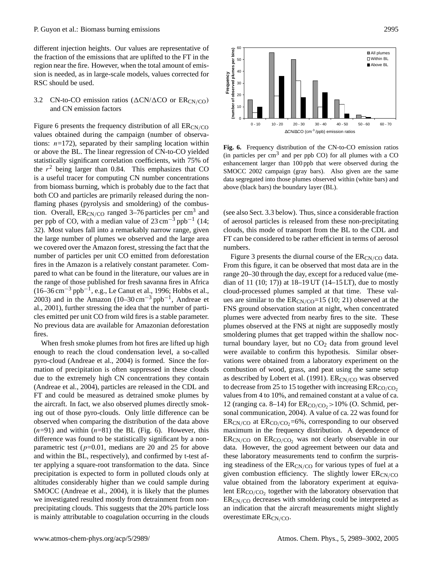different injection heights. Our values are representative of the fraction of the emissions that are uplifted to the FT in the region near the fire. However, when the total amount of emission is needed, as in large-scale models, values corrected for RSC should be used.

## 3.2 CN-to-CO emission ratios ( $\Delta$ CN/ $\Delta$ CO or ER<sub>CN/CO</sub>) and CN emission factors

Figure 6 presents the frequency distribution of all  $ER_{CN/CO}$ values obtained during the campaign (number of observations:  $n=172$ ), separated by their sampling location within or above the BL. The linear regression of CN-to-CO yielded statistically significant correlation coefficients, with 75% of the  $r<sup>2</sup>$  being larger than 0.84. This emphasizes that CO is a useful tracer for computing CN number concentrations from biomass burning, which is probably due to the fact that both CO and particles are primarily released during the nonflaming phases (pyrolysis and smoldering) of the combustion. Overall,  $ER_{CN/CO}$  ranged 3–76 particles per cm<sup>3</sup> and per ppb of CO, with a median value of  $23 \text{ cm}^{-3}$  ppb<sup>-1</sup> (14; 32). Most values fall into a remarkably narrow range, given the large number of plumes we observed and the large area we covered over the Amazon forest, stressing the fact that the number of particles per unit CO emitted from deforestation fires in the Amazon is a relatively constant parameter. Compared to what can be found in the literature, our values are in the range of those published for fresh savanna fires in Africa  $(16-36 \text{ cm}^{-3} \text{ pb}^{-1}, e.g., \text{Le Canut et al., } 1996; \text{Hobbs et al.},$ 2003) and in the Amazon  $(10-30 \text{ cm}^{-3} \text{ pb}^{-1}$ , Andreae et al., 2001), further stressing the idea that the number of particles emitted per unit CO from wild fires is a stable parameter. No previous data are available for Amazonian deforestation fires.

When fresh smoke plumes from hot fires are lifted up high enough to reach the cloud condensation level, a so-called pyro-cloud (Andreae et al., 2004) is formed. Since the formation of precipitation is often suppressed in these clouds due to the extremely high CN concentrations they contain (Andreae et al., 2004), particles are released in the CDL and FT and could be measured as detrained smoke plumes by the aircraft. In fact, we also observed plumes directly smoking out of those pyro-clouds. Only little difference can be observed when comparing the distribution of the data above  $(n=91)$  and within  $(n=81)$  the BL (Fig. 6). However, this difference was found to be statistically significant by a nonparametric test ( $p=0.01$ , medians are 20 and 25 for above and within the BL, respectively), and confirmed by t-test after applying a square-root transformation to the data. Since precipitation is expected to form in polluted clouds only at altitudes considerably higher than we could sample during SMOCC (Andreae et al., 2004), it is likely that the plumes we investigated resulted mostly from detrainment from nonprecipitating clouds. This suggests that the 20% particle loss is mainly attributable to coagulation occurring in the clouds



60 T

enhancement larger than 100 ppb that were observed during the Fig. 6. Frequency distribution of the CN-to-CO emission ratios (in particles per  $\text{cm}^3$  and per ppb CO) for all plumes with a CO SMOCC 2002 campaign (gray bars). Also given are the same data segregated into those plumes observed within (white bars) and above (black bars) the boundary layer (BL).

(see also Sect. 3.3 below). Thus, since a considerable fraction of aerosol particles is released from these non-precipitating clouds, this mode of transport from the BL to the CDL and FT can be considered to be rather efficient in terms of aerosol numbers.

Figure 3 presents the diurnal course of the  $ER_{CN/CO}$  data. From this figure, it can be observed that most data are in the range 20–30 through the day, except for a reduced value (median of 11 (10; 17)) at 18–19 UT (14–15 LT), due to mostly cloud-processed plumes sampled at that time. These values are similar to the  $ER_{CN/CO} = 15 (10; 21)$  observed at the FNS ground observation station at night, when concentrated plumes were advected from nearby fires to the site. These plumes observed at the FNS at night are supposedly mostly smoldering plumes that get trapped within the shallow nocturnal boundary layer, but no  $CO<sub>2</sub>$  data from ground level were available to confirm this hypothesis. Similar observations were obtained from a laboratory experiment on the combustion of wood, grass, and peat using the same setup as described by Lobert et al. (1991).  $ER_{CN/CO}$  was observed to decrease from 25 to 15 together with increasing  $ER_{CO/CO_2}$ values from 4 to 10%, and remained constant at a value of ca. 12 (ranging ca. 8–14) for  $ER_{CO/CO_2} > 10\%$  (O. Schmid, personal communication, 2004). A value of ca. 22 was found for  $ER_{CN/CO}$  at  $ER_{CO/CO_2}=6%$ , corresponding to our observed maximum in the frequency distribution. A dependence of  $ER_{CN/CO}$  on  $ER_{CO/CO_2}$  was not clearly observable in our data. However, the good agreement between our data and these laboratory measurements tend to confirm the surprising steadiness of the  $ER_{CN/CO}$  for various types of fuel at a given combustion efficiency. The slightly lower  $ER_{CN/CO}$ value obtained from the laboratory experiment at equivalent  $ER_{CO/CO_2}$  together with the laboratory observation that  $ER_{CN/CO}$  decreases with smoldering could be interpreted as an indication that the aircraft measurements might slightly overestimate  $ER_{CN/CO}$ .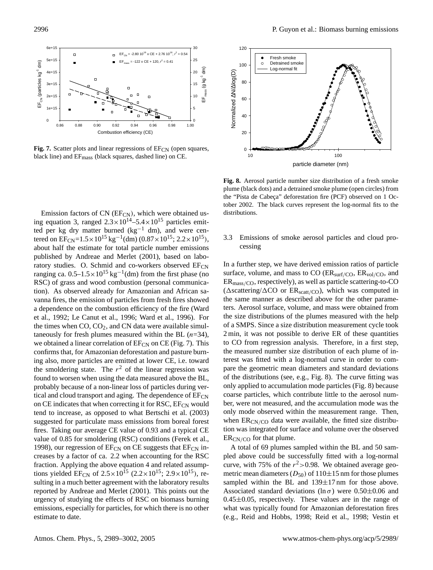

Fig. 7. Scatter plots and linear regressions of EF<sub>CN</sub> (open squares, black line) and EFmass (black squares, dashed line) on CE.

Emission factors of  $CN$  (EF $_{CN}$ ), which were obtained using equation 3, ranged  $2.3 \times 10^{14} - 5.4 \times 10^{15}$  particles emitted per kg dry matter burned ( $kg^{-1}$  dm), and were centered on  $EF_{CN} = 1.5 \times 10^{15}$  kg<sup>-1</sup>(dm) (0.87×10<sup>15</sup>; 2.2×10<sup>15</sup>), about half the estimate for total particle number emissions published by Andreae and Merlet (2001), based on laboratory studies. O. Schmid and co-workers observed  $E_{\text{CN}}$ ranging ca.  $0.5-1.5 \times 10^{15}$  kg<sup>-1</sup>(dm) from the first phase (no RSC) of grass and wood combustion (personal communication). As observed already for Amazonian and African savanna fires, the emission of particles from fresh fires showed a dependence on the combustion efficiency of the fire (Ward et al., 1992; Le Canut et al., 1996; Ward et al., 1996). For the times when  $CO$ ,  $CO<sub>2</sub>$ , and CN data were available simultaneously for fresh plumes measured within the BL  $(n=34)$ , we obtained a linear correlation of  $E\llcorner F_{CN}$  on CE (Fig. 7). This confirms that, for Amazonian deforestation and pasture burning also, more particles are emitted at lower CE, i.e. toward the smoldering state. The  $r^2$  of the linear regression was found to worsen when using the data measured above the BL, probably because of a non-linear loss of particles during vertical and cloud transport and aging. The dependence of  $E_{CN}$ on CE indicates that when correcting it for RSC,  $E_{CN}$  would tend to increase, as opposed to what Bertschi et al. (2003) suggested for particulate mass emissions from boreal forest fires. Taking our average CE value of 0.93 and a typical CE value of 0.85 for smoldering (RSC) conditions (Ferek et al., 1998), our regression of  $E_{CN}$  on CE suggests that  $E_{CN}$  increases by a factor of ca. 2.2 when accounting for the RSC fraction. Applying the above equation 4 and related assumptions yielded EF<sub>CN</sub> of  $2.5 \times 10^{15}$  ( $2.2 \times 10^{15}$ ;  $2.9 \times 10^{15}$ ), resulting in a much better agreement with the laboratory results reported by Andreae and Merlet (2001). This points out the urgency of studying the effects of RSC on biomass burning emissions, especially for particles, for which there is no other estimate to date.



plume (black dots) and a detrained smoke plume (open circles) from **Fig. 8.** Aerosol particle number size distribution of a fresh smoke the "Pista de Cabeça" deforestation fire (PCF) observed on 1 October 2002. The black curves represent the log-normal fits to the distributions.

## 3.3 Emissions of smoke aerosol particles and cloud processing

In a further step, we have derived emission ratios of particle surface, volume, and mass to CO  $(ER_{\text{surf/CO}}, ER_{\text{vol/CO}},$  and  $ER_{mass/CO}$ , respectively), as well as particle scattering-to-CO ( $\triangle$ scattering/ $\triangle$ CO or ER<sub>scatt/CO</sub>), which was computed in the same manner as described above for the other parameters. Aerosol surface, volume, and mass were obtained from the size distributions of the plumes measured with the help of a SMPS. Since a size distribution measurement cycle took 2 min, it was not possible to derive ER of these quantities to CO from regression analysis. Therefore, in a first step, the measured number size distribution of each plume of interest was fitted with a log-normal curve in order to compare the geometric mean diameters and standard deviations of the distributions (see, e.g., Fig. 8). The curve fitting was only applied to accumulation mode particles (Fig. 8) because coarse particles, which contribute little to the aerosol number, were not measured, and the accumulation mode was the only mode observed within the measurement range. Then, when  $ER_{CN/CO}$  data were available, the fitted size distribution was integrated for surface and volume over the observed  $ER_{CN/CO}$  for that plume.

A total of 69 plumes sampled within the BL and 50 sampled above could be successfully fitted with a log-normal curve, with 75% of the  $r^2 > 0.98$ . We obtained average geometric mean diameters  $(D_{50})$  of 110 $\pm$ 15 nm for those plumes sampled within the BL and  $139\pm17$  nm for those above. Associated standard deviations (ln  $\sigma$ ) were 0.50 $\pm$ 0.06 and  $0.45\pm0.05$ , respectively. These values are in the range of what was typically found for Amazonian deforestation fires (e.g., Reid and Hobbs, 1998; Reid et al., 1998; Vestin et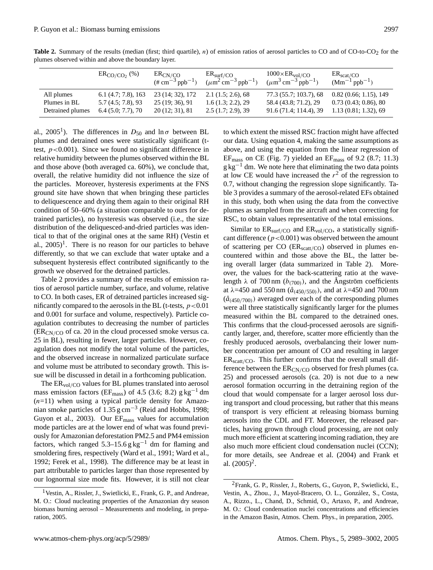|                  | $ERCO/CO2$ (%)     | ERCN/CO<br>$(\# \text{ cm}^{-3} \text{ pb}^{-1})$ | $ER_{\text{surf/CO}}$<br>$(\mu m^2 \text{ cm}^{-3} \text{ pb}^{-1})$ | $1000\times ER_{\text{vol/CO}}$<br>$(\mu m^3 \text{ cm}^{-3} \text{ pb}^{-1})$ | $ER_{scat/CO}$<br>$(Mm^{-1}$ ppb <sup>-1</sup> ) |
|------------------|--------------------|---------------------------------------------------|----------------------------------------------------------------------|--------------------------------------------------------------------------------|--------------------------------------------------|
| All plumes       | 6.1(4.7; 7.8), 163 | 23 (14; 32), 172                                  | $2.1(1.5; 2.6)$ , 68                                                 | 77.3 (55.7; 103.7), 68                                                         | 0.82(0.66; 1.15), 149                            |
| Plumes in BL     | 5.7(4.5; 7.8), 93  | 25(19; 36), 91                                    | 1.6(1.3; 2.2), 29                                                    | 58.4 (43.8; 71.2), 29                                                          | 0.73(0.43; 0.86), 80                             |
| Detrained plumes | 6.4(5.0; 7.7), 70  | 20(12; 31), 81                                    | $2.5(1.7; 2.9)$ , 39                                                 | 91.6 (71.4; 114.4), 39                                                         | 1.13(0.81; 1.32), 69                             |

Table 2. Summary of the results (median (first; third quartile), n) of emission ratios of aerosol particles to CO and of CO-to-CO<sub>2</sub> for the plumes observed within and above the boundary layer.

al., 2005<sup>[1](#page-8-0)</sup>). The differences in  $D_{50}$  and  $\ln \sigma$  between BL plumes and detrained ones were statistically significant (ttest,  $p < 0.001$ ). Since we found no significant difference in relative humidity between the plumes observed within the BL and those above (both averaged ca. 60%), we conclude that, overall, the relative humidity did not influence the size of the particles. Moreover, hysteresis experiments at the FNS ground site have shown that when bringing these particles to deliquescence and drying them again to their original RH condition of 50–60% (a situation comparable to ours for detrained particles), no hysteresis was observed (i.e., the size distribution of the deliquesced-and-dried particles was identical to that of the original ones at the same RH) (Vestin et al.,  $2005$ <sup>1</sup>. There is no reason for our particles to behave differently, so that we can exclude that water uptake and a subsequent hysteresis effect contributed significantly to the growth we observed for the detrained particles.

Table 2 provides a summary of the results of emission ratios of aerosol particle number, surface, and volume, relative to CO. In both cases, ER of detrained particles increased significantly compared to the aerosols in the BL (t-tests,  $p < 0.01$ ) and 0.001 for surface and volume, respectively). Particle coagulation contributes to decreasing the number of particles  $(ER_{CN/CO}$  of ca. 20 in the cloud processed smoke versus ca. 25 in BL), resulting in fewer, larger particles. However, coagulation does not modify the total volume of the particles, and the observed increase in normalized particulate surface and volume must be attributed to secondary growth. This issue will be discussed in detail in a forthcoming publication.

The  $ER_{vol/CO}$  values for BL plumes translated into aerosol mass emission factors (EF<sub>mass</sub>) of 4.5 (3.6; 8.2) g kg<sup>-1</sup> dm  $(n=11)$  when using a typical particle density for Amazonian smoke particles of 1.35  $\text{g cm}^{-3}$  (Reid and Hobbs, 1998; Guyon et al., 2003). Our  $EF_{mass}$  values for accumulation mode particles are at the lower end of what was found previously for Amazonian deforestation PM2.5 and PM4 emission factors, which ranged  $5.3-15.6$  g kg<sup>-1</sup> dm for flaming and smoldering fires, respectively (Ward et al., 1991; Ward et al., 1992; Ferek et al., 1998). The difference may be at least in part attributable to particles larger than those represented by our lognormal size mode fits. However, it is still not clear to which extent the missed RSC fraction might have affected our data. Using equation 4, making the same assumptions as above, and using the equation from the linear regression of  $EF_{mass}$  on CE (Fig. 7) yielded an  $EF_{mass}$  of 9.2 (8.7; 11.3)  $g \text{kg}^{-1}$  dm. We note here that eliminating the two data points at low CE would have increased the  $r<sup>2</sup>$  of the regression to 0.7, without changing the regression slope significantly. Table 3 provides a summary of the aerosol-related EFs obtained in this study, both when using the data from the convective plumes as sampled from the aircraft and when correcting for RSC, to obtain values representative of the total emissions.

Similar to  $ER_{\text{surf/CO}}$  and  $ER_{\text{vol/CO}}$ , a statistically significant difference ( $p < 0.001$ ) was observed between the amount of scattering per CO (ERscatt/CO) observed in plumes encountered within and those above the BL, the latter being overall larger (data summarized in Table 2). Moreover, the values for the back-scattering ratio at the wavelength  $\lambda$  of 700 nm ( $b_{(700)}$ ), and the Angström coefficients at  $\lambda$ =450 and 550 nm ( $\hat{a}_{(450/550)}$ ), and at  $\lambda$ =450 and 700 nm  $(\hat{a}_{(450/700)})$  averaged over each of the corresponding plumes were all three statistically significantly larger for the plumes measured within the BL compared to the detrained ones. This confirms that the cloud-processed aerosols are significantly larger, and, therefore, scatter more efficiently than the freshly produced aerosols, overbalancing their lower number concentration per amount of CO and resulting in larger  $ER_{scatt/CO}$ . This further confirms that the overall small difference between the  $ER_{CN/CO}$  observed for fresh plumes (ca. 25) and processed aerosols (ca. 20) is not due to a new aerosol formation occurring in the detraining region of the cloud that would compensate for a larger aerosol loss during transport and cloud processing, but rather that this means of transport is very efficient at releasing biomass burning aerosols into the CDL and FT. Moreover, the released particles, having grown through cloud processing, are not only much more efficient at scattering incoming radiation, they are also much more efficient cloud condensation nuclei (CCN); for more details, see Andreae et al. (2004) and Frank et al.  $(2005)^2$  $(2005)^2$  $(2005)^2$ .

<span id="page-8-0"></span><sup>1</sup>Vestin, A., Rissler, J., Swietlicki, E., Frank, G. P., and Andreae, M. O.: Cloud nucleating properties of the Amazonian dry season biomass burning aerosol – Measurements and modeling, in preparation, 2005.

<span id="page-8-1"></span><sup>2</sup>Frank, G. P., Rissler, J., Roberts, G., Guyon, P., Swietlicki, E., Vestin, A., Zhou., J., Mayol-Bracero, O. L., Gonzalez, S., Costa, ´ A., Rizzo., L., Chand, D., Schmid, O., Artaxo, P., and Andreae, M. O.: Cloud condensation nuclei concentrations and efficiencies in the Amazon Basin, Atmos. Chem. Phys., in preparation, 2005.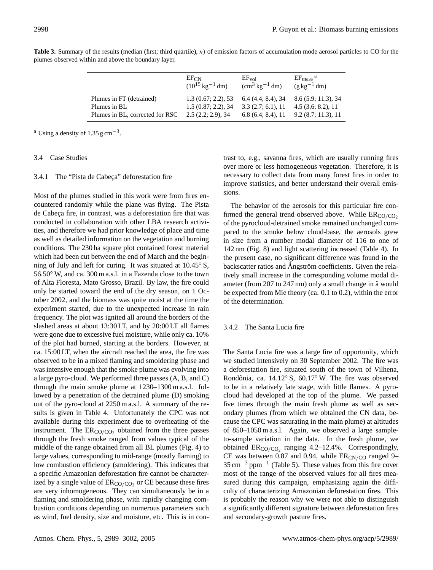|                                          | $EF_{CN}$<br>$(10^{15} \text{ kg}^{-1} \text{ dm})$ | $EF_{vol}$<br>$\rm (cm^3\,kg^{-1}\,dm)$ | $EF_{mass}$ <sup>a</sup><br>$(g \text{ kg}^{-1} dm)$              |
|------------------------------------------|-----------------------------------------------------|-----------------------------------------|-------------------------------------------------------------------|
| Plumes in FT (detrained)<br>Plumes in BL | 1.3(0.67; 2.2), 53                                  | 6.4(4.4; 8.4), 34                       | 8.6 (5.9; 11.3), 34                                               |
| Plumes in BL, corrected for RSC          | 1.5(0.87; 2.2), 34<br>$2.5(2.2; 2.9)$ , 34          | 3.3(2.7; 6.1), 11                       | 4.5(3.6; 8.2), 11<br>$6.8(6.4; 8.4), 11 \quad 9.2(8.7; 11.3), 11$ |

**Table 3.** Summary of the results (median (first; third quartile), n) of emission factors of accumulation mode aerosol particles to CO for the plumes observed within and above the boundary layer.

<sup>a</sup> Using a density of 1.35 g cm<sup>-3</sup>.

## 3.4 Case Studies

## 3.4.1 The "Pista de Cabeça" deforestation fire

Most of the plumes studied in this work were from fires encountered randomly while the plane was flying. The Pista de Cabeça fire, in contrast, was a deforestation fire that was conducted in collaboration with other LBA research activities, and therefore we had prior knowledge of place and time as well as detailed information on the vegetation and burning conditions. The 230 ha square plot contained forest material which had been cut between the end of March and the beginning of July and left for curing. It was situated at 10.45◦ S, 56.50◦ W, and ca. 300 m a.s.l. in a Fazenda close to the town of Alta Floresta, Mato Grosso, Brazil. By law, the fire could only be started toward the end of the dry season, on 1 October 2002, and the biomass was quite moist at the time the experiment started, due to the unexpected increase in rain frequency. The plot was ignited all around the borders of the slashed areas at about 13:30 LT, and by 20:00 LT all flames were gone due to excessive fuel moisture, while only ca. 10% of the plot had burned, starting at the borders. However, at ca. 15:00 LT, when the aircraft reached the area, the fire was observed to be in a mixed flaming and smoldering phase and was intensive enough that the smoke plume was evolving into a large pyro-cloud. We performed three passes (A, B, and C) through the main smoke plume at 1230–1300 m a.s.l. followed by a penetration of the detrained plume (D) smoking out of the pyro-cloud at 2250 m a.s.l. A summary of the results is given in Table 4. Unfortunately the CPC was not available during this experiment due to overheating of the instrument. The  $ER_{CO/CO_2}$  obtained from the three passes through the fresh smoke ranged from values typical of the middle of the range obtained from all BL plumes (Fig. 4) to large values, corresponding to mid-range (mostly flaming) to low combustion efficiency (smoldering). This indicates that a specific Amazonian deforestation fire cannot be characterized by a single value of  $ER_{CO/CO_2}$  or CE because these fires are very inhomogeneous. They can simultaneously be in a flaming and smoldering phase, with rapidly changing combustion conditions depending on numerous parameters such as wind, fuel density, size and moisture, etc. This is in contrast to, e.g., savanna fires, which are usually running fires over more or less homogeneous vegetation. Therefore, it is necessary to collect data from many forest fires in order to improve statistics, and better understand their overall emissions.

The behavior of the aerosols for this particular fire confirmed the general trend observed above. While  $ER_{CO/CO_2}$ of the pyrocloud-detrained smoke remained unchanged compared to the smoke below cloud-base, the aerosols grew in size from a number modal diameter of 116 to one of 142 nm (Fig. 8) and light scattering increased (Table 4). In the present case, no significant difference was found in the backscatter ratios and Angström coefficients. Given the relatively small increase in the corresponding volume modal diameter (from  $207$  to  $247$  nm) only a small change in  $\ddot{a}$  would be expected from Mie theory (ca. 0.1 to 0.2), within the error of the determination.

## 3.4.2 The Santa Lucia fire

The Santa Lucia fire was a large fire of opportunity, which we studied intensively on 30 September 2002. The fire was a deforestation fire, situated south of the town of Vilhena, Rondônia, ca. 14.12° S, 60.17° W. The fire was observed to be in a relatively late stage, with little flames. A pyrocloud had developed at the top of the plume. We passed five times through the main fresh plume as well as secondary plumes (from which we obtained the CN data, because the CPC was saturating in the main plume) at altitudes of 850–1050 m a.s.l. Again, we observed a large sampleto-sample variation in the data. In the fresh plume, we obtained  $ER_{CO/CO_2}$  ranging 4.2–12.4%. Correspondingly, CE was between 0.87 and 0.94, while  $ER_{CN/CO}$  ranged 9– 35 cm−<sup>3</sup> ppm−<sup>1</sup> (Table 5). These values from this fire cover most of the range of the observed values for all fires measured during this campaign, emphasizing again the difficulty of characterizing Amazonian deforestation fires. This is probably the reason why we were not able to distinguish a significantly different signature between deforestation fires and secondary-growth pasture fires.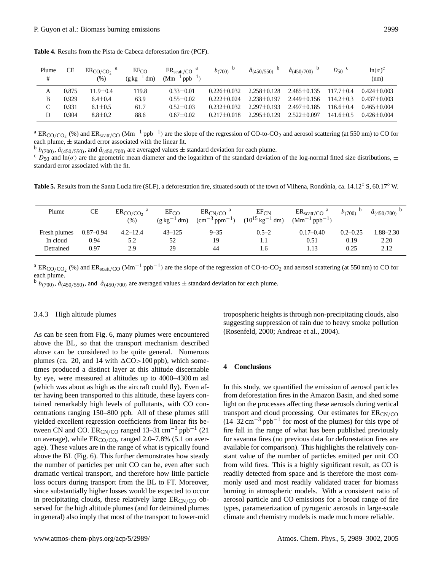| Plume<br># | CE    | $ER_{CO/CO}$ <sup>a</sup><br>$(\%)$ | EF <sub>CO</sub><br>$(g \text{ kg}^{-1} dm)$ | $ER_{scatt/CO}$ <sup>a</sup><br>$(Mm^{-1}$ ppb <sup>-1</sup> ) | $b_{(700)}$     | $\tilde{a}_{(450/550)}$ | $d_{(450/700)}$   | $D_{50}$ c    | $ln(\sigma)^c$<br>(nm) |
|------------|-------|-------------------------------------|----------------------------------------------|----------------------------------------------------------------|-----------------|-------------------------|-------------------|---------------|------------------------|
| А          | 0.875 | $1.9 + 0.4$                         | 19.8                                         | $0.33 + 0.01$                                                  | $0.226 + 0.032$ | $2.258 + 0.128$         | $2.485 + 0.135$   | $1177 + 04$   | $0.424 + 0.003$        |
| B          | 0.929 | $6.4 \pm 0.4$                       | 63.9                                         | $0.55 + 0.02$                                                  | $0.222 + 0.024$ | $2.238 + 0.197$         | $2.449 \pm 0.156$ | $114.2 + 0.3$ | $0.437 + 0.003$        |
| ⌒          | 0.931 | $6.1 \pm 0.5$                       | 61.7                                         | $0.52 \pm 0.03$                                                | $0.232 + 0.032$ | $2.297 + 0.193$         | $2.497 + 0.185$   | $116.6 + 0.4$ | $0.465 + 0.004$        |
| D          | 0.904 | $8.8 \pm 0.2$                       | 88.6                                         | $0.67 \pm 0.02$                                                | $0.217 + 0.018$ | $2.295 + 0.129$         | $2.522 + 0.097$   | $141.6 + 0.5$ | $0.426 + 0.004$        |

**Table 4.** Results from the Pista de Cabeca deforestation fire (PCF).

<sup>a</sup> ER<sub>CO/CO<sub>2</sub> (%) and ER<sub>scatt/CO</sub> (Mm<sup>-1</sup> ppb<sup>-1</sup>) are the slope of the regression of CO-to-CO<sub>2</sub> and aerosol scattering (at 550 nm) to CO for</sub> each plume,  $\pm$  standard error associated with the linear fit.

<sup>b</sup>  $b_{(700)}$ ,  $\hat{a}_{(450/550)}$ , and  $\hat{a}_{(450/700)}$  are averaged values  $\pm$  standard deviation for each plume.

 $c_{D_{50}}$  and  $\ln(\sigma)$  are the geometric mean diameter and the logarithm of the standard deviation of the log-normal fitted size distributions,  $\pm$ standard error associated with the fit.

Table 5. Results from the Santa Lucia fire (SLF), a deforestation fire, situated south of the town of Vilhena, Rondônia, ca. 14.12° S, 60.17° W.

| Plume        | CЕ            | ERCO/CO <sub>2</sub><br>(%) | EF <sub>CO</sub><br>$(g \text{ kg}^{-1} dm)$ | $ER_{CN/CO}$<br>$\rm (cm^{-3}$ ppm <sup>-1</sup> ) | $EF_{CN}$<br>$(10^{15} \text{ kg}^{-1} \text{ dm})$ | $ER_{scatt/CO}$<br>$(Mm^{-1}$ ppb <sup>-1</sup> ) | $b_{(700)}$  | $\hat{a}_{(450/700)}$ |
|--------------|---------------|-----------------------------|----------------------------------------------|----------------------------------------------------|-----------------------------------------------------|---------------------------------------------------|--------------|-----------------------|
| Fresh plumes | $0.87 - 0.94$ | $4.2 - 12.4$                | $43 - 125$                                   | $9 - 35$                                           | $0.5 - 2$                                           | $0.17 - 0.40$                                     | $0.2 - 0.25$ | $1.88 - 2.30$         |
| In cloud     | 0.94          | 5.2                         | 52                                           | 19                                                 | 1.1                                                 | 0.51                                              | 0.19         | 2.20                  |
| Detrained    | 0.97          | 2.9                         | 29                                           | 44                                                 | b                                                   | 1.13                                              | 0.25         | 2.12                  |

<sup>a</sup> ER<sub>CO/CO<sub>2</sub> (%) and ER<sub>scatt/CO</sub> (Mm<sup>-1</sup> ppb<sup>-1</sup>) are the slope of the regression of CO-to-CO<sub>2</sub> and aerosol scattering (at 550 nm) to CO for</sub> each plume.

<sup>b</sup>  $b_{(700)}$ ,  $\hat{a}_{(450/550)}$ , and  $\hat{a}_{(450/700)}$  are averaged values  $\pm$  standard deviation for each plume.

#### 3.4.3 High altitude plumes

As can be seen from Fig. 6, many plumes were encountered above the BL, so that the transport mechanism described above can be considered to be quite general. Numerous plumes (ca. 20, and 14 with  $\Delta CO > 100$  ppb), which sometimes produced a distinct layer at this altitude discernable by eye, were measured at altitudes up to 4000–4300 m asl (which was about as high as the aircraft could fly). Even after having been transported to this altitude, these layers contained remarkably high levels of pollutants, with CO concentrations ranging 150–800 ppb. All of these plumes still yielded excellent regression coefficients from linear fits between CN and CO. ER<sub>CN/CO</sub> ranged  $13-31 \text{ cm}^{-3} \text{ pb}^{-1}$  (21 on average), while  $ER_{CO/CO_2}$  ranged 2.0–7.8% (5.1 on average). These values are in the range of what is typically found above the BL (Fig. 6). This further demonstrates how steady the number of particles per unit CO can be, even after such dramatic vertical transport, and therefore how little particle loss occurs during transport from the BL to FT. Moreover, since substantially higher losses would be expected to occur in precipitating clouds, these relatively large  $ER_{CN/CO}$  observed for the high altitude plumes (and for detrained plumes in general) also imply that most of the transport to lower-mid tropospheric heights is through non-precipitating clouds, also suggesting suppression of rain due to heavy smoke pollution (Rosenfeld, 2000; Andreae et al., 2004).

## **4 Conclusions**

In this study, we quantified the emission of aerosol particles from deforestation fires in the Amazon Basin, and shed some light on the processes affecting these aerosols during vertical transport and cloud processing. Our estimates for  $ER_{CN/CO}$  $(14-32 \text{ cm}^{-3} \text{ pb}^{-1}$  for most of the plumes) for this type of fire fall in the range of what has been published previously for savanna fires (no previous data for deforestation fires are available for comparison). This highlights the relatively constant value of the number of particles emitted per unit CO from wild fires. This is a highly significant result, as CO is readily detected from space and is therefore the most commonly used and most readily validated tracer for biomass burning in atmospheric models. With a consistent ratio of aerosol particle and CO emissions for a broad range of fire types, parameterization of pyrogenic aerosols in large-scale climate and chemistry models is made much more reliable.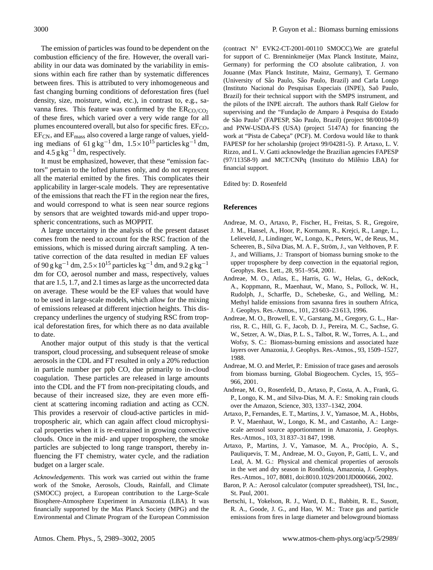The emission of particles was found to be dependent on the combustion efficiency of the fire. However, the overall variability in our data was dominated by the variability in emissions within each fire rather than by systematic differences between fires. This is attributed to very inhomogeneous and fast changing burning conditions of deforestation fires (fuel density, size, moisture, wind, etc.), in contrast to, e.g., savanna fires. This feature was confirmed by the  $ER_{CO/CO_2}$ of these fires, which varied over a very wide range for all plumes encountered overall, but also for specific fires.  $EF_{CO}$ , EF<sub>CN</sub>, and EF<sub>mass</sub> also covered a large range of values, yielding medians of 61 g kg<sup>-1</sup> dm,  $1.5 \times 10^{15}$  particles kg<sup>-1</sup> dm, and 4.5  $g kg^{-1}$  dm, respectively.

It must be emphasized, however, that these "emission factors" pertain to the lofted plumes only, and do not represent all the material emitted by the fires. This complicates their applicability in larger-scale models. They are representative of the emissions that reach the FT in the region near the fires, and would correspond to what is seen near source regions by sensors that are weighted towards mid-and upper tropospheric concentrations, such as MOPPIT.

A large uncertainty in the analysis of the present dataset comes from the need to account for the RSC fraction of the emissions, which is missed during aircraft sampling. A tentative correction of the data resulted in median EF values of 90 g kg<sup>-1</sup> dm, 2.5×10<sup>15</sup> particles kg<sup>-1</sup> dm, and 9.2 g kg<sup>-1</sup> dm for CO, aerosol number and mass, respectively, values that are 1.5, 1.7, and 2.1 times as large as the uncorrected data on average. These would be the EF values that would have to be used in large-scale models, which allow for the mixing of emissions released at different injection heights. This discrepancy underlines the urgency of studying RSC from tropical deforestation fires, for which there as no data available to date.

Another major output of this study is that the vertical transport, cloud processing, and subsequent release of smoke aerosols in the CDL and FT resulted in only a 20% reduction in particle number per ppb CO, due primarily to in-cloud coagulation. These particles are released in large amounts into the CDL and the FT from non-precipitating clouds, and because of their increased size, they are even more efficient at scattering incoming radiation and acting as CCN. This provides a reservoir of cloud-active particles in midtropospheric air, which can again affect cloud microphysical properties when it is re-entrained in growing convective clouds. Once in the mid- and upper troposphere, the smoke particles are subjected to long range transport, thereby influencing the FT chemistry, water cycle, and the radiation budget on a larger scale.

*Acknowledgements.* This work was carried out within the frame work of the Smoke, Aerosols, Clouds, Rainfall, and Climate (SMOCC) project, a European contribution to the Large-Scale Biosphere-Atmosphere Experiment in Amazonia (LBA). It was financially supported by the Max Planck Society (MPG) and the Environmental and Climate Program of the European Commission (contract N◦ EVK2-CT-2001-00110 SMOCC).We are grateful for support of C. Brenninkmeijer (Max Planck Institute, Mainz, Germany) for performing the CO absolute calibration, J. von Jouanne (Max Planck Institute, Mainz, Germany), T. Germano (University of São Paulo, São Paulo, Brazil) and Carla Longo (Instituto Nacional do Pesquisas Especiais (INPE), Saõ Paulo, Brazil) for their technical support with the SMPS instrument, and the pilots of the INPE aircraft. The authors thank Ralf Gielow for supervising and the "Fundação de Amparo à Pesquisa do Estado de São Paulo" (FAPESP, São Paulo, Brazil) (project 98/00104-9) and PNW-USDA-FS (USA) (project 5147A) for financing the work at "Pista de Cabeça" (PCF). M. Cordova would like to thank FAPESP for her scholarship (project 99/04281-5). P. Artaxo, L. V. Rizzo, and L. V. Gatti acknowledge the Brazilian agencies FAPESP (97/11358-9) and MCT/CNPq (Instituto do Milênio LBA) for financial support.

Edited by: D. Rosenfeld

#### **References**

- Andreae, M. O., Artaxo, P., Fischer, H., Freitas, S. R., Gregoire, J. M., Hansel, A., Hoor, P., Kormann, R., Krejci, R., Lange, L., Lelieveld, J., Lindinger, W., Longo, K., Peters, W., de Reus, M., Scheeren, B., Silva Dias, M. A. F., Ström, J., van Velthoven, P. F. J., and Williams, J.: Transport of biomass burning smoke to the upper troposphere by deep convection in the equatorial region, Geophys. Res. Lett., 28, 951–954, 2001.
- Andreae, M. O., Atlas, E., Harris, G. W., Helas, G., deKock, A., Koppmann, R., Maenhaut, W., Mano, S., Pollock, W. H., Rudolph, J., Scharffe, D., Schebeske, G., and Welling, M.: Methyl halide emissions from savanna fires in southern Africa, J. Geophys. Res.-Atmos., 101, 23 603–23 613, 1996.
- Andreae, M. O., Browell, E. V., Garstang, M., Gregory, G. L., Harriss, R. C., Hill, G. F., Jacob, D. J., Pereira, M. C., Sachse, G. W., Setzer, A. W., Dias, P. L. S., Talbot, R. W., Torres, A. L., and Wofsy, S. C.: Biomass-burning emissions and associated haze layers over Amazonia, J. Geophys. Res.-Atmos., 93, 1509–1527, 1988.
- Andreae, M. O. and Merlet, P.: Emission of trace gases and aerosols from biomass burning, Global Biogeochem. Cycles, 15, 955– 966, 2001.
- Andreae, M. O., Rosenfeld, D., Artaxo, P., Costa, A. A., Frank, G. P., Longo, K. M., and Silva-Dias, M. A. F.: Smoking rain clouds over the Amazon, Science, 303, 1337–1342, 2004.
- Artaxo, P., Fernandes, E. T., Martins, J. V., Yamasoe, M. A., Hobbs, P. V., Maenhaut, W., Longo, K. M., and Castanho, A.: Largescale aerosol source apportionment in Amazonia, J. Geophys. Res.-Atmos., 103, 31 837–31 847, 1998.
- Artaxo, P., Martins, J. V., Yamasoe, M. A., Procópio, A. S., Pauliquevis, T. M., Andreae, M. O., Guyon, P., Gatti, L. V., and Leal, A. M. G.: Physical and chemical properties of aerosols in the wet and dry season in Rondônia, Amazonia, J. Geophys. Res.-Atmos., 107, 8081, doi:8010.1029/2001JD000666, 2002.
- Baron, P. A.: Aerosol calculator (computer spreadsheet), TSI, Inc., St. Paul, 2001.
- Bertschi, I., Yokelson, R. J., Ward, D. E., Babbitt, R. E., Susott, R. A., Goode, J. G., and Hao, W. M.: Trace gas and particle emissions from fires in large diameter and belowground biomass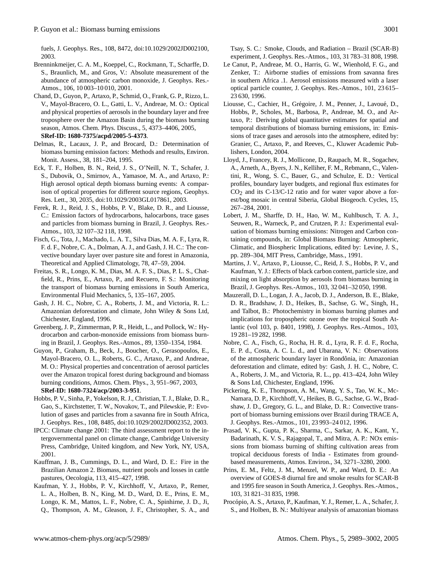fuels, J. Geophys. Res., 108, 8472, doi:10.1029/2002JD002100, 2003.

- Brenninkmeijer, C. A. M., Koeppel, C., Rockmann, T., Scharffe, D. S., Braunlich, M., and Gros, V.: Absolute measurement of the abundance of atmospheric carbon monoxide, J. Geophys. Res.- Atmos., 106, 10 003–10 010, 2001.
- Chand, D., Guyon, P., Artaxo, P., Schmid, O., Frank, G. P., Rizzo, L. V., Mayol-Bracero, O. L., Gatti, L. V., Andreae, M. O.: Optical and physical properties of aerosols in the boundary layer and free troposphere over the Amazon Basin during the biomass burning season, Atmos. Chem. Phys. Discuss., 5, 4373–4406, 2005, **[SRef-ID: 1680-7375/acpd/2005-5-4373](http://direct.sref.org/1680-7375/acpd/2005-5-4373)**.
- Delmas, R., Lacaux, J. P., and Brocard, D.: Determination of biomass burning emission factors: Methods and results, Environ. Monit. Assess., 38, 181–204, 1995.
- Eck, T. F., Holben, B. N., Reid, J. S., O'Neill, N. T., Schafer, J. S., Dubovik, O., Smirnov, A., Yamasoe, M. A., and Artaxo, P.: High aerosol optical depth biomass burning events: A comparison of optical properties for different source regions, Geophys. Res. Lett., 30, 2035, doi:10.1029/2003GL017861, 2003.
- Ferek, R. J., Reid, J. S., Hobbs, P. V., Blake, D. R., and Liousse, C.: Emission factors of hydrocarbons, halocarbons, trace gases and particles from biomass burning in Brazil, J. Geophys. Res.- Atmos., 103, 32 107–32 118, 1998.
- Fisch, G., Tota, J., Machado, L. A. T., Silva Dias, M. A. F., Lyra, R. F. d. F., Nobre, C. A., Dolman, A. J., and Gash, J. H. C.: The convective boundary layer over pasture site and forest in Amazonia, Theoretical and Applied Climatology, 78, 47–59, 2004.
- Freitas, S. R., Longo, K. M., Dias, M. A. F. S., Dias, P. L. S., Chatfield, R., Prins, E., Artaxo, P., and Recuero, F. S.: Monitoring the transport of biomass burning emissions in South America, Environmental Fluid Mechanics, 5, 135–167, 2005.
- Gash, J. H. C., Nobre, C. A., Roberts, J. M., and Victoria, R. L.: Amazonian deforestation and climate, John Wiley & Sons Ltd, Chichester, England, 1996.
- Greenberg, J. P., Zimmerman, P. R., Heidt, L., and Pollock, W.: Hydrocarbon and carbon-monoxide emissions from biomass burning in Brazil, J. Geophys. Res.-Atmos., 89, 1350–1354, 1984.
- Guyon, P., Graham, B., Beck, J., Boucher, O., Gerasopoulos, E., Mayol-Bracero, O. L., Roberts, G. C., Artaxo, P., and Andreae, M. O.: Physical properties and concentration of aerosol particles over the Amazon tropical forest during background and biomass burning conditions, Atmos. Chem. Phys., 3, 951–967, 2003, **[SRef-ID: 1680-7324/acp/2003-3-951](http://direct.sref.org/1680-7324/acp/2003-3-951)**.
- Hobbs, P. V., Sinha, P., Yokelson, R. J., Christian, T. J., Blake, D. R., Gao, S., Kirchstetter, T. W., Novakov, T., and Pilewskie, P.: Evolution of gases and particles from a savanna fire in South Africa, J. Geophys. Res., 108, 8485, doi:10.1029/2002JD002352, 2003.
- IPCC: Climate change 2001: The third assessment report to the intergovernmental panel on climate change, Cambridge University Press, Cambridge, United kingdom, and New York, NY, USA, 2001.
- Kauffman, J. B., Cummings, D. L., and Ward, D. E.: Fire in the Brazilian Amazon 2. Biomass, nutrient pools and losses in cattle pastures, Oecologia, 113, 415–427, 1998.
- Kaufman, Y. J., Hobbs, P. V., Kirchhoff, V., Artaxo, P., Remer, L. A., Holben, B. N., King, M. D., Ward, D. E., Prins, E. M., Longo, K. M., Mattos, L. F., Nobre, C. A., Spinhirne, J. D., Ji, Q., Thompson, A. M., Gleason, J. F., Christopher, S. A., and

Tsay, S. C.: Smoke, Clouds, and Radiation – Brazil (SCAR-B) experiment, J. Geophys. Res.-Atmos., 103, 31 783–31 808, 1998.

- Le Canut, P., Andreae, M. O., Harris, G. W., Wienhold, F. G., and Zenker, T.: Airborne studies of emissions from savanna fires in southern Africa .1. Aerosol emissions measured with a laser optical particle counter, J. Geophys. Res.-Atmos., 101, 23 615– 23 630, 1996.
- Liousse, C., Cachier, H., Grégoire, J. M., Penner, J., Lavoué, D., Hobbs, P., Scholes, M., Barbosa, P., Andreae, M. O., and Artaxo, P.: Deriving global quantitative estimates for spatial and temporal distributions of biomass burning emissions, in: Emissions of trace gases and aerosols into the atmosphere, edited by: Granier, C., Artaxo, P., and Reeves, C., Kluwer Academic Publishers, London, 2004.
- Lloyd, J., Francey, R. J., Mollicone, D., Raupach, M. R., Sogachev, A., Arneth, A., Byers, J. N., Kelliher, F. M., Rebmann, C., Valentini, R., Wong, S. C., Bauer, G., and Schulze, E. D.: Vertical profiles, boundary layer budgets, and regional flux estimates for  $CO<sub>2</sub>$  and its C-13/C-12 ratio and for water vapor above a forest/bog mosaic in central Siberia, Global Biogeoch. Cycles, 15, 267–284, 2001.
- Lobert, J. M., Sharffe, D. H., Hao, W. M., Kuhlbusch, T. A. J., Seuwen, R., Warneck, P., and Crutzen, P. J.: Experimental evaluation of biomass burning emissions: Nitrogen and Carbon containing compounds, in: Global Biomass Burning: Atmospheric, Climatic, and Biospheric Implications, edited by: Levine, J. S., pp. 289–304, MIT Press, Cambridge, Mass., 1991.
- Martins, J. V., Artaxo, P., Liousse, C., Reid, J. S., Hobbs, P. V., and Kaufman, Y. J.: Effects of black carbon content, particle size, and mixing on light absorption by aerosols from biomass burning in Brazil, J. Geophys. Res.-Atmos., 103, 32 041–32 050, 1998.
- Mauzerall, D. L., Logan, J. A., Jacob, D. J., Anderson, B. E., Blake, D. R., Bradshaw, J. D., Heikes, B., Sachse, G. W., Singh, H., and Talbot, B.: Photochemistry in biomass burning plumes and implications for tropospheric ozone over the tropical South Atlantic (vol 103, p. 8401, 1998), J. Geophys. Res.-Atmos., 103, 19 281–19 282, 1998.
- Nobre, C. A., Fisch, G., Rocha, H. R. d., Lyra, R. F. d. F., Rocha, E. P. d., Costa, A. C. L. d., and Ubarana, V. N.: Observations of the atmospheric boundary layer in Rondônia, in: Amazonian deforestation and climate, edited by: Gash, J. H. C., Nobre, C. A., Roberts, J. M., and Victoria, R. L., pp. 413–424, John Wiley & Sons Ltd, Chichester, England, 1996.
- Pickering, K. E., Thompson, A. M., Wang, Y. S., Tao, W. K., Mc-Namara, D. P., Kirchhoff, V., Heikes, B. G., Sachse, G. W., Bradshaw, J. D., Gregory, G. L., and Blake, D. R.: Convective transport of biomass burning emissions over Brazil during TRACE A, J. Geophys. Res.-Atmos., 101, 23 993–24 012, 1996.
- Prasad, V. K., Gupta, P. K., Sharma, C., Sarkar, A. K., Kant, Y., Badarinath, K. V. S., Rajagopal, T., and Mitra, A. P.: NOx emissions from biomass burning of shifting cultivation areas from tropical deciduous forests of India - Estimates from groundbased measurements, Atmos. Environ., 34, 3271–3280, 2000.
- Prins, E. M., Feltz, J. M., Menzel, W. P., and Ward, D. E.: An overview of GOES-8 diurnal fire and smoke results for SCAR-B and 1995 fire season in South America, J. Geophys. Res.-Atmos., 103, 31 821–31 835, 1998.
- Procópio, A. S., Artaxo, P., Kaufman, Y. J., Remer, L. A., Schafer, J. S., and Holben, B. N.: Multiyear analysis of amazonian biomass